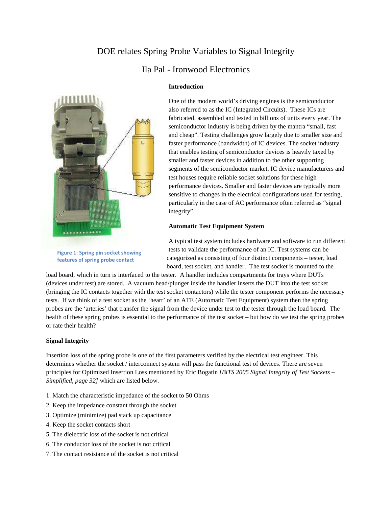# DOE relates Spring Probe Variables to Signal Integrity

## Ila Pal - Ironwood Electronics



**Figure 1: Spring pin socket showing features of spring probe contact**

### **Introduction**

One of the modern world's driving engines is the semiconductor also referred to as the IC (Integrated Circuits). These ICs are fabricated, assembled and tested in billions of units every year. The semiconductor industry is being driven by the mantra "small, fast and cheap". Testing challenges grow largely due to smaller size and faster performance (bandwidth) of IC devices. The socket industry that enables testing of semiconductor devices is heavily taxed by smaller and faster devices in addition to the other supporting segments of the semiconductor market. IC device manufacturers and test houses require reliable socket solutions for these high performance devices. Smaller and faster devices are typically more sensitive to changes in the electrical configurations used for testing, particularly in the case of AC performance often referred as "signal integrity".

## **Automatic Test Equipment System**

A typical test system includes hardware and software to run different tests to validate the performance of an IC. Test systems can be categorized as consisting of four distinct components – tester, load board, test socket, and handler. The test socket is mounted to the

load board, which in turn is interfaced to the tester. A handler includes compartments for trays where DUTs (devices under test) are stored. A vacuum head/plunger inside the handler inserts the DUT into the test socket (bringing the IC contacts together with the test socket contactors) while the tester component performs the necessary tests. If we think of a test socket as the 'heart' of an ATE (Automatic Test Equipment) system then the spring probes are the 'arteries' that transfer the signal from the device under test to the tester through the load board. The health of these spring probes is essential to the performance of the test socket – but how do we test the spring probes or rate their health?

## **Signal Integrity**

Insertion loss of the spring probe is one of the first parameters verified by the electrical test engineer. This determines whether the socket / interconnect system will pass the functional test of devices. There are seven principles for Optimized Insertion Loss mentioned by Eric Bogatin *[BiTS 2005 Signal Integrity of Test Sockets – Simplified, page 32]* which are listed below.

- 1. Match the characteristic impedance of the socket to 50 Ohms
- 2. Keep the impedance constant through the socket
- 3. Optimize (minimize) pad stack up capacitance
- 4. Keep the socket contacts short
- 5. The dielectric loss of the socket is not critical
- 6. The conductor loss of the socket is not critical
- 7. The contact resistance of the socket is not critical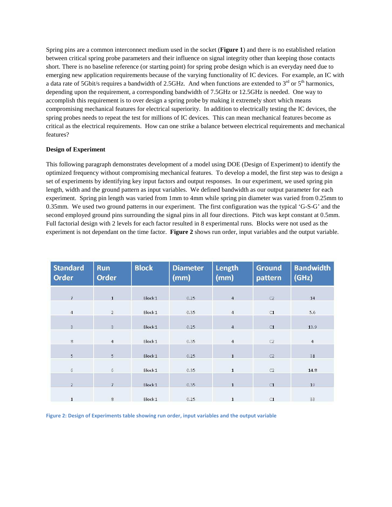Spring pins are a common interconnect medium used in the socket (**Figure 1**) and there is no established relation between critical spring probe parameters and their influence on signal integrity other than keeping those contacts short. There is no baseline reference (or starting point) for spring probe design which is an everyday need due to emerging new application requirements because of the varying functionality of IC devices. For example, an IC with a data rate of 5Gbit/s requires a bandwidth of 2.5GHz. And when functions are extended to  $3<sup>rd</sup>$  or  $5<sup>th</sup>$  harmonics, depending upon the requirement, a corresponding bandwidth of 7.5GHz or 12.5GHz is needed. One way to accomplish this requirement is to over design a spring probe by making it extremely short which means compromising mechanical features for electrical superiority. In addition to electrically testing the IC devices, the spring probes needs to repeat the test for millions of IC devices. This can mean mechanical features become as critical as the electrical requirements. How can one strike a balance between electrical requirements and mechanical features?

## **Design of Experiment**

This following paragraph demonstrates development of a model using DOE (Design of Experiment) to identify the optimized frequency without compromising mechanical features. To develop a model, the first step was to design a set of experiments by identifying key input factors and output responses. In our experiment, we used spring pin length, width and the ground pattern as input variables. We defined bandwidth as our output parameter for each experiment. Spring pin length was varied from 1mm to 4mm while spring pin diameter was varied from 0.25mm to 0.35mm. We used two ground patterns in our experiment. The first configuration was the typical 'G-S-G' and the second employed ground pins surrounding the signal pins in all four directions. Pitch was kept constant at 0.5mm. Full factorial design with 2 levels for each factor resulted in 8 experimental runs. Blocks were not used as the experiment is not dependant on the time factor. **Figure 2** shows run order, input variables and the output variable.

| <b>Standard</b><br><b>Order</b> | <b>Run</b><br><b>Order</b> | <b>Block</b>       | <b>Diameter</b><br>(mm) | <b>Length</b><br>(mm) | <b>Ground</b><br>pattern | <b>Bandwidth</b><br>(GHz) |
|---------------------------------|----------------------------|--------------------|-------------------------|-----------------------|--------------------------|---------------------------|
| $\overline{7}$                  | $\mathbf{1}$               | Block 1            | 0.25                    | $\overline{4}$        | C <sub>2</sub>           | 14                        |
|                                 |                            |                    |                         |                       |                          |                           |
| $\overline{4}$                  | $\overline{2}$             | Block 1            | 0.35                    | $\overline{4}$        | C1                       | 5.6                       |
| 3                               | $\mathbf{3}$               | Block 1            | 0.25                    | $\overline{4}$        | C1                       | 13.9                      |
|                                 |                            |                    |                         |                       |                          |                           |
| $\overline{8}$                  | $\overline{4}$             | Block 1            | 0.35                    | $\overline{4}$        | C <sub>2</sub>           | $\overline{4}$            |
| $\overline{5}$                  | $\overline{5}$             | Block <sub>1</sub> | 0.25                    | $\mathbf 1$           | C <sub>2</sub>           | 31                        |
|                                 |                            |                    |                         |                       |                          |                           |
| 6                               | $6\phantom{.}$             | Block 1            | 0.35                    | $\mathbf{1}$          | C2                       | 14.8                      |
|                                 |                            |                    |                         |                       |                          |                           |
| $\mathbf{2}$                    | $\overline{7}$             | Block 1            | 0.35                    | $\mathbf{1}$          | C1                       | 19                        |
| $\mathbf 1$                     | $\overline{\mathbf{g}}$    | Block 1            | 0.25                    | $\mathbf 1$           | C1                       | 33                        |

**Figure 2: Design of Experiments table showing run order, input variables and the output variable**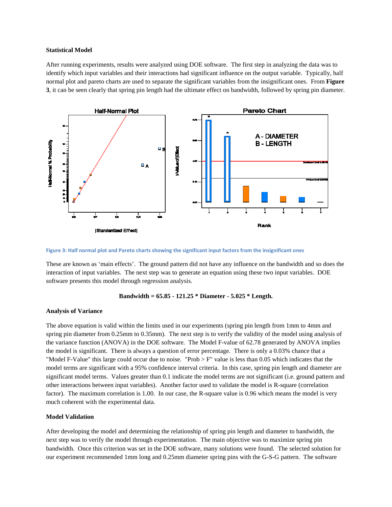## **Statistical Model**

After running experiments, results were analyzed using DOE software. The first step in analyzing the data was to identify which input variables and their interactions had significant influence on the output variable. Typically, half normal plot and pareto charts are used to separate the significant variables from the insignificant ones. From **Figure** 3, it can be seen clearly that spring pin length had the ultimate effect on bandwidth, followed by spring pin diameter.



Figure 3: Half normal plot and Pareto charts showing the significant input factors from the insignificant ones

These are known as 'main effects'. The ground pattern did not have any influence on the bandwidth and so does the interaction of input variables. The next step was to generate an equation using these two input variables. DOE software presents this model through regression analysis.

#### **Bandwidth = 65.85 65.85 - 121.25 \* Diameter - 5.025 \* Length.**

#### **Analysis of Variance**

The above equation is valid within the limits used in our experiments (spring pin length from 1mm to 4mm and spring pin diameter from 0.25mm to 0.35mm). The next step is to verify the validity of the model using analysis of the variance function (ANOVA) in the DOE software. The Model F-value of 62.78 generated by ANOVA implies the variance function (ANOVA) in the DOE software. The Model F-value of 62.78 generated by ANOVA implies the model is significant. There is always a question of error percentage. There is only a 0.03% chance that a "Model F-Value" this large could occur due to noise. "Prob  $>$  F" value is less than 0.05 which indicates that the model terms are significant with a 95% confidence interval criteria. In this case, spring pin length and diameter are significant model terms. Values greater than 0.1 indicate the model terms are not significant (i.e. ground pattern and other interactions between input variables). Another factor used to validate the model is R-square (correlation factor). The maximum correlation is 1.00. In our case, the R-square value is 0.96 which means the model is very much coherent with the experimental data. factor). The maximum correlation is 1.00. In our case, the R-square value is 0.96 which means the model is very<br>much coherent with the experimental data.<br>Model Validation<br>After developing the model and determining the rela

#### **Model Validation**

next step was to verify the model through experimentation. The main objective was to maximize spring pin bandwidth. Once this criterion was set in the DOE software, many solutions were found. The selected solution for bandwidth. Once this criterion was set in the DOE software, many solutions were found. The selected solution for<br>our experiment recommended 1mm long and 0.25mm diameter spring pins with the G-S-G pattern. The software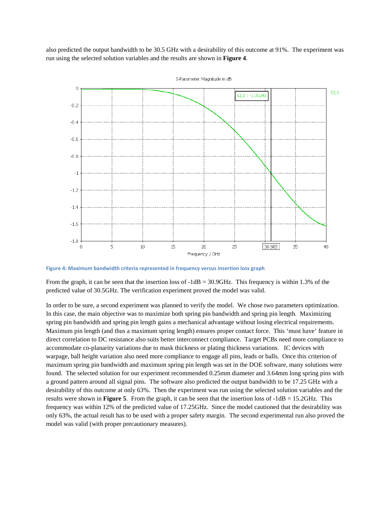also predicted the output bandwidth to be 30.5 GHz with a desirability of this outcome at 91%. The experiment was run using the selected solution variables and the results are shown in **Figure 4**.



**Figure 4: Maximum bandwidth criteria represented in frequency versus insertion loss graph**

From the graph, it can be seen that the insertion loss of  $-1dB = 30.9GHz$ . This frequency is within 1.3% of the predicted value of 30.5GHz. The verification experiment proved the model was valid.

In order to be sure, a second experiment was planned to verify the model. We chose two parameters optimization. In this case, the main objective was to maximize both spring pin bandwidth and spring pin length. Maximizing spring pin bandwidth and spring pin length gains a mechanical advantage without losing electrical requirements. Maximum pin length (and thus a maximum spring length) ensures proper contact force. This 'must have' feature in direct correlation to DC resistance also suits better interconnect compliance. Target PCBs need more compliance to accommodate co-planarity variations due to mask thickness or plating thickness variations. IC devices with warpage, ball height variation also need more compliance to engage all pins, leads or balls. Once this criterion of maximum spring pin bandwidth and maximum spring pin length was set in the DOE software, many solutions were found. The selected solution for our experiment recommended 0.25mm diameter and 3.64mm long spring pins with a ground pattern around all signal pins. The software also predicted the output bandwidth to be 17.25 GHz with a desirability of this outcome at only 63%. Then the experiment was run using the selected solution variables and the results were shown in **Figure 5**. From the graph, it can be seen that the insertion loss of -1dB = 15.2GHz. This frequency was within 12% of the predicted value of 17.25GHz. Since the model cautioned that the desirability was only 63%, the actual result has to be used with a proper safety margin. The second experimental run also proved the model was valid (with proper precautionary measures).